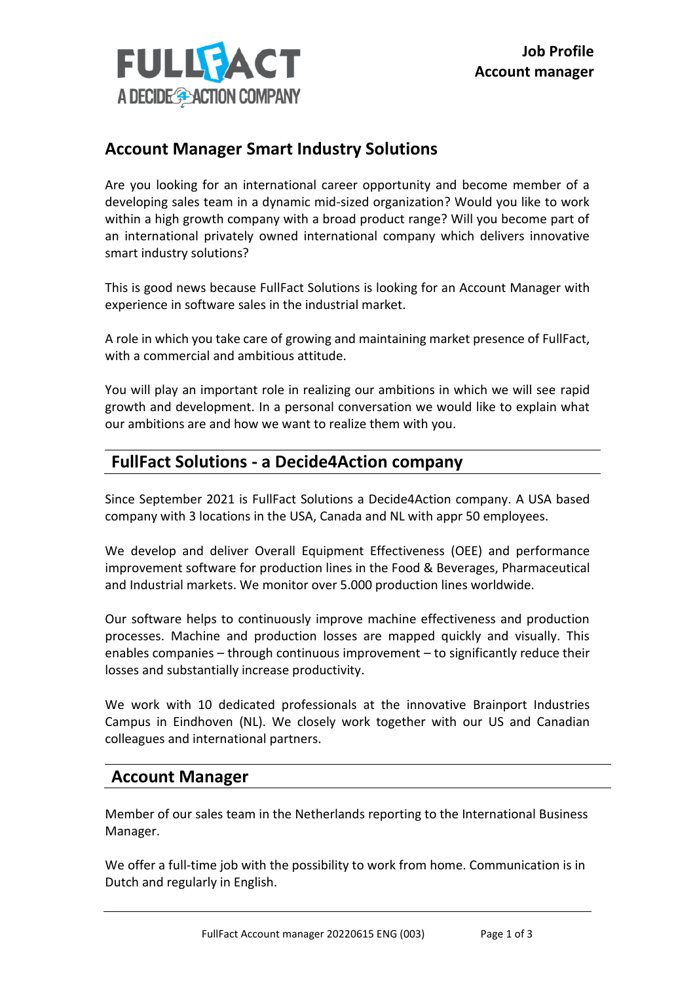

# **Account Manager Smart Industry Solutions**

Are you looking for an international career opportunity and become member of a developing sales team in a dynamic mid-sized organization? Would you like to work within a high growth company with a broad product range? Will you become part of an international privately owned international company which delivers innovative smart industry solutions?

This is good news because FullFact Solutions is looking for an Account Manager with experience in software sales in the industrial market.

A role in which you take care of growing and maintaining market presence of FullFact, with a commercial and ambitious attitude.

You will play an important role in realizing our ambitions in which we will see rapid growth and development. In a personal conversation we would like to explain what our ambitions are and how we want to realize them with you.

### **FullFact Solutions - a Decide4Action company**

Since September 2021 is FullFact Solutions a Decide4Action company. A USA based company with 3 locations in the USA, Canada and NL with appr 50 employees.

We develop and deliver Overall Equipment Effectiveness (OEE) and performance improvement software for production lines in the Food & Beverages, Pharmaceutical and Industrial markets. We monitor over 5.000 production lines worldwide.

Our software helps to continuously improve machine effectiveness and production processes. Machine and production losses are mapped quickly and visually. This enables companies – through continuous improvement – to significantly reduce their losses and substantially increase productivity.

We work with 10 dedicated professionals at the innovative Brainport Industries Campus in Eindhoven (NL). We closely work together with our US and Canadian colleagues and international partners.

#### **Account Manager**

Member of our sales team in the Netherlands reporting to the International Business Manager.

We offer a full-time job with the possibility to work from home. Communication is in Dutch and regularly in English.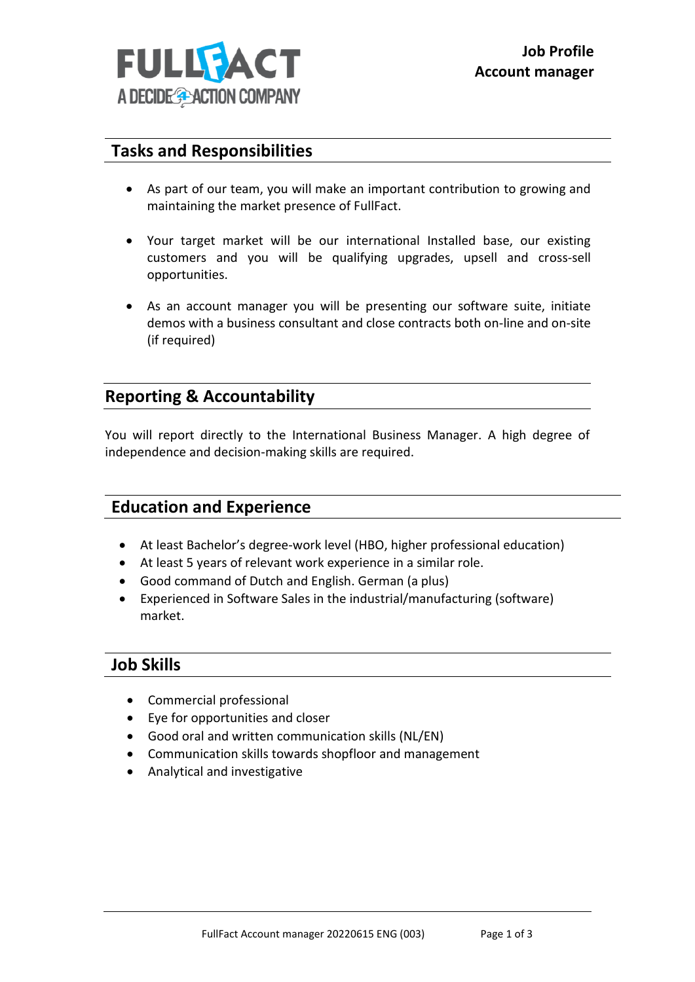

### **Tasks and Responsibilities**

- As part of our team, you will make an important contribution to growing and maintaining the market presence of FullFact.
- Your target market will be our international Installed base, our existing customers and you will be qualifying upgrades, upsell and cross-sell opportunities.
- As an account manager you will be presenting our software suite, initiate demos with a business consultant and close contracts both on-line and on-site (if required)

# **Reporting & Accountability**

You will report directly to the International Business Manager. A high degree of independence and decision-making skills are required.

#### **Education and Experience**

- At least Bachelor's degree-work level (HBO, higher professional education)
- At least 5 years of relevant work experience in a similar role.
- Good command of Dutch and English. German (a plus)
- Experienced in Software Sales in the industrial/manufacturing (software) market.

#### **Job Skills**

- Commercial professional
- Eye for opportunities and closer
- Good oral and written communication skills (NL/EN)
- Communication skills towards shopfloor and management
- Analytical and investigative